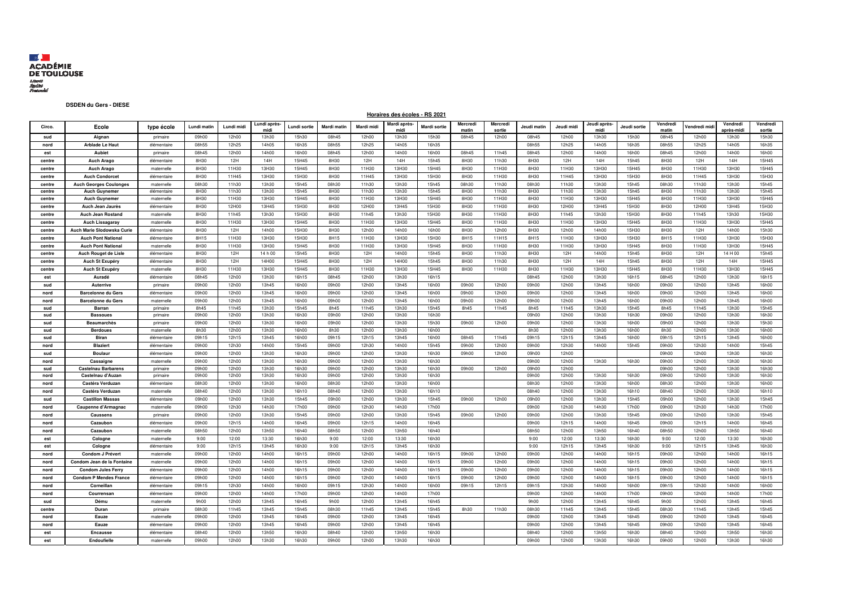

## **DSDEN du Gers - DIESE**

## **Horaires des écoles - RS 2021**

| Circo. | Ecole                         | type école  | Lundi matin | Lundi midi | Lundi après<br>midi | Lundi sortie | <b>Mardi matin</b> | Mardi midi | Mardi après<br>midi | Mardi sortie | Mercredi<br>matin | Mercredi<br>sortie | Jeudi matin | Jeudi midi | Jeudi après<br>midi | Jeudi sortie | Vendred<br>matin | Vendredi mid | Vendredi<br>après-midi | Vendredi<br>sortie |
|--------|-------------------------------|-------------|-------------|------------|---------------------|--------------|--------------------|------------|---------------------|--------------|-------------------|--------------------|-------------|------------|---------------------|--------------|------------------|--------------|------------------------|--------------------|
| sud    | Aignan                        | primaire    | 09h00       | 12h00      | 13h30               | 15h30        | 08h45              | 12h00      | 13h30               | 15h30        | 08h45             | 12h00              | 08h45       | 12h00      | 13h30               | 15h30        | 08h45            | 12h00        | 13h30                  | 15h30              |
| nord   | <b>Arblade Le Haut</b>        | élémentaire | 08h55       | 12h25      | 14h05               | 16h35        | 08h55              | 12h25      | 14h05               | 16h35        |                   |                    | 08h55       | 12h25      | 14h05               | 16h35        | 08h55            | 12h25        | 14h05                  | 16h35              |
| est    | Aubiet                        | primaire    | 08h45       | 12h00      | 14h00               | 16h00        | 08h45              | 12h00      | 14h00               | 16h00        | 08h45             | 11h45              | 08h45       | 12h00      | 14h00               | 16h00        | 08h45            | 12h00        | 14h00                  | 16h00              |
| centre | <b>Auch Arago</b>             | élémentaire | 8H30        | 12H        | 14H                 | 15H45        | 8H30               | 12H        | 14H                 | 15h45        | 8H30              | 11h30              | 8H30        | 12H        | 14H                 | 15h45        | 8H30             | 12H          | 14H                    | 15H45              |
| centre | <b>Auch Arago</b>             | maternelle  | 8H30        | 11H30      | 13H30               | 15H45        | 8H30               | 11H30      | 13H30               | 15H45        | 8H30              | 11H30              | 8H30        | 11H30      | 13H30               | 15H45        | 8H30             | 11H30        | 13H30                  | 15H45              |
| centre | <b>Auch Condorcet</b>         | élémentaire | 8H30        | 11H45      | 13H30               | 15H30        | 8H30               | 11H45      | 13H30               | 15H30        | 8H30              | 11H30              | 8H30        | 11H45      | 13H30               | 15H30        | 8H30             | 11H45        | 13H30                  | 15H30              |
| centre | <b>Auch Georges Coulonges</b> | maternelle  | 08h30       | 11h30      | 13h30               | 15h45        | 08h30              | 11h30      | 13h30               | 15h45        | 08h30             | 11h30              | 08h30       | 11h30      | 13h30               | 15h45        | 08h30            | 11h30        | 13h30                  | 15h45              |
| centre | <b>Auch Guynemer</b>          | élémentaire | 8H30        | 11h30      | 13h30               | 15h45        | 8H30               | 11h30      | 13h30               | 15h45        | 8H30              | 11h30              | 8H30        | 11h30      | 13h30               | 15h45        | 8H30             | 11h30        | 13h30                  | 15h45              |
| centre | <b>Auch Guynemer</b>          | maternelle  | 8H30        | 11H30      | 13H30               | 15H45        | 8H30               | 11H30      | 13H30               | 15H45        | 8H30              | 11H30              | 8H30        | 11H30      | 13H30               | 15H45        | 8H30             | 11H30        | 13H30                  | 15H45              |
| centre | Auch Jean Jaurès              | élémentaire | 8H30        | 12H00      | 13H45               | 15H30        | 8H30               | 12H00      | 13H45               | 15H30        | 8H30              | 11H30              | 8H30        | 12H00      | 13H45               | 15H30        | 8H30             | 12H00        | 13H45                  | 15H30              |
| centre | <b>Auch Jean Rostand</b>      | maternelle  | 8H30        | 11h45      | 13h30               | 15H30        | 8H30               | 11h45      | 13h30               | 15H30        | 8H30              | 11H30              | 8H30        | 11h45      | 13h30               | 15H30        | 8H30             | 11h45        | 13h30                  | 15H30              |
| centre | <b>Auch Lissagaray</b>        | maternelle  | 8H30        | 11H30      | 13H30               | 15H45        | 8H30               | 11H30      | 13H30               | 15H45        | 8H30              | 11H30              | 8H30        | 11H30      | 13H30               | 15H45        | 8H30             | 11H30        | 13H30                  | 15H45              |
| centre | Auch Marie Slodowska Curie    | élémentaire | 8H30        | 12H        | 14h00               | 15H30        | 8H30               | 12h00      | 14h00               | 16h00        | 8H30              | 12h00              | 8H30        | 12h00      | 14h00               | 15H30        | 8H30             | 12H          | 14h00                  | 15h30              |
| centre | <b>Auch Pont National</b>     | élémentaire | 8H15        | 11H30      | 13H30               | 15H30        | 8H15               | 11H30      | 13H30               | 15H30        | 8H15              | 11H15              | 8H15        | 11H30      | 13H30               | 15H30        | 8H15             | 11H30        | 13H30                  | 15H30              |
| centre | <b>Auch Pont National</b>     | maternelle  | 8H30        | 11H30      | 13H30               | 15H45        | 8H30               | 11H30      | 13H30               | 15H45        | 8H30              | 11H30              | 8H30        | 11H30      | 13H30               | 15H45        | 8H30             | 11H30        | 13H30                  | 15H45              |
| centre | Auch Rouget de Lisle          | élémentaire | 8H30        | 12H        | 14 h 00             | 15h45        | 8H30               | 12H        | 14h00               | 15h45        | 8H30              | 11h30              | 8H30        | 12H        | 14h00               | 15h45        | 8H30             | 12H          | 14 H 00                | 15h45              |
| centre | Auch St Exupéry               | élémentaire | 8H30        | 12H        | 14H00               | 15H45        | 8H30               | 12H        | 14H00               | 15h45        | 8H30              | 11h30              | 8H30        | 12H        | 14H                 | 15h45        | 8H30             | 12H          | 14H                    | 15H45              |
| centre | Auch St Exupéry               | maternelle  | 8H30        | 11H30      | 13H30               | 15H45        | 8H30               | 11H30      | 13H30               | 15H45        | 8H30              | 11H30              | 8H30        | 11H30      | 13H30               | 15H45        | 8H30             | 11H30        | 13H30                  | 15H45              |
| est    | Auradé                        | élémentaire | 08h45       | 12h00      | 13h30               | 16h15        | 08h45              | 12h00      | 13h30               | 16h15        |                   |                    | 08h45       | 12h00      | 13h30               | 16h15        | 08h45            | 12h00        | 13h30                  | 16h15              |
| sud    | Auterrive                     | primaire    | 09h00       | 12h00      | 13h45               | 16h00        | 09h00              | 12h00      | 13h45               | 16h00        | 09h00             | 12h00              | 09h00       | 12h00      | 13h45               | 16h00        | 09h00            | 12h00        | 13h45                  | 16h00              |
| nord   | <b>Barcelonne du Gers</b>     | élémentaire | 09h00       | 12h00      | 13h45               | 16h00        | 09h00              | 12h00      | 13h45               | 16h00        | 09h00             | 12h00              | 09h00       | 12h00      | 13h45               | 16h00        | 09h00            | 12h00        | 13h45                  | 16h00              |
| nord   | <b>Barcelonne du Gers</b>     | maternelle  | 09h00       | 12h00      | 13h45               | 16h00        | 09h00              | 12h00      | 13h45               | 16h00        | 09h00             | 12h00              | 09h00       | 12h00      | 13h45               | 16h00        | 09h00            | 12h00        | 13h45                  | 16h00              |
| sud    | Barran                        | primaire    | 8h45        | 11h45      | 13h30               | 15h45        | 8h45               | 11h45      | 13h30               | 15h45        | 8h45              | 11h45              | 8h45        | 11h45      | 13h30               | 15h45        | 8h45             | 11h45        | 13h30                  | 15h45              |
| sud    | <b>Bassoues</b>               | primaire    | 09h00       | 12h00      | 13h30               | 16h30        | 09h00              | 12h00      | 13h30               | 16h30        |                   |                    | 09h00       | 12h00      | 13h30               | 16h30        | 09h00            | 12h00        | 13h30                  | 16h30              |
| sud    | <b>Beaumarchès</b>            | primaire    | 09h00       | 12h00      | 13h30               | 16h00        | 09h00              | 12h00      | 13h30               | 15h30        | 09h00             | 12h00              | 09h00       | 12h00      | 13h30               | 16h00        | 09h00            | 12h00        | 13h30                  | 15h30              |
| sud    | <b>Berdoues</b>               | maternelle  | 8h30        | 12h00      | 13h30               | 16h00        | 8h30               | 12h00      | 13h30               | 16h00        |                   |                    | 8h30        | 12h00      | 13h30               | 16h00        | 8h30             | 12h00        | 13h30                  | 16h00              |
| sud    | <b>Biran</b>                  | élémentaire | 09h15       | 12h15      | 13h45               | 16h00        | 09h15              | 12h15      | 13h45               | 16h00        | 08h45             | 11h45              | 09h15       | 12h15      | 13h45               | 16h00        | 09h15            | 12h15        | 13h45                  | 16h00              |
| nord   | <b>Blaziert</b>               | élémentaire | 09h00       | 12h30      | 14h00               | 15h45        | 09h00              | 12h30      | 14h00               | 15h45        | 09h00             | 12h00              | 09h00       | 12h30      | 14h00               | 15h45        | 09h00            | 12h30        | 14h00                  | 15h45              |
| sud    | <b>Boulaur</b>                | élémentaire | 09h00       | 12h00      | 13h30               | 16h30        | 09h00              | 12h00      | 13h30               | 16h30        | 09h00             | 12h00              | 09h00       | 12h00      |                     |              | 09h00            | 12h00        | 13h30                  | 16h30              |
| nord   | Cassaigne                     | maternelle  | 09h00       | 12h00      | 13h30               | 16h30        | 09h00              | 12h00      | 13h30               | 16h30        |                   |                    | 09h00       | 12h00      | 13h30               | 16h30        | 09h00            | 12h00        | 13h30                  | 16h30              |
| sud    | <b>Castelnau Barbarens</b>    | primaire    | 09h00       | 12h00      | 13h30               | 16h30        | 09h00              | 12h00      | 13h30               | 16h30        | 09h00             | 12h00              | 09h00       | 12h00      |                     |              | 09h00            | 12h00        | 13h30                  | 16h30              |
| nord   | Castelnau d'Auzan             | primaire    | 09h00       | 12h00      | 13h30               | 16h30        | 09h00              | 12h00      | 13h30               | 16h30        |                   |                    | 09h00       | 12h00      | 13h30               | 16h30        | 09h00            | 12h00        | 13h30                  | 16h30              |
| nord   | Castéra Verduzan              | élémentaire | 08h30       | 12h00      | 13h30               | 16h00        | 08h30              | 12h00      | 13h30               | 16h00        |                   |                    | 08h30       | 12h00      | 13h30               | 16h00        | 08h30            | 12h00        | 13h30                  | 16h00              |
| nord   | Castéra Verduzan              | maternelle  | 08h40       | 12h00      | 13h30               | 16h10        | 08h40              | 12h00      | 13h30               | 16h10        |                   |                    | 08h40       | 12h00      | 13h30               | 16h10        | 08h40            | 12h00        | 13h30                  | 16h10              |
| sud    | <b>Castillon Massas</b>       | élémentaire | 09h00       | 12h00      | 13h30               | 15h45        | 09h00              | 12h00      | 13h30               | 15h45        | 09h00             | 12h00              | 09h00       | 12h00      | 13h30               | 15h45        | 09h00            | 12h00        | 13h30                  | 15h45              |
| nord   | Caupenne d'Armagnac           | maternelle  | 09h00       | 12h30      | 14h30               | 17h00        | 09h00              | 12h30      | 14h30               | 17h00        |                   |                    | 09h00       | 12h30      | 14h30               | 17h00        | 09h00            | 12h30        | 14h30                  | 17h00              |
| nord   | Caussens                      | primaire    | 09h00       | 12h00      | 13h30               | 15h45        | 09h00              | 12h00      | 13h30               | 15h45        | 09h00             | 12h00              | 09h00       | 12h00      | 13h30               | 15h45        | 09h00            | 12h00        | 13h30                  | 15h45              |
| nord   | Cazaubon                      | élémentaire | 09h00       | 12h15      | 14h00               | 16h45        | 09h00              | 12h15      | 14h00               | 16h45        |                   |                    | 09h00       | 12h15      | 14h00               | 16h45        | 09h00            | 12h15        | 14h00                  | 16h45              |
| nord   | Cazaubon                      | maternelle  | 08h50       | 12h00      | 13h50               | 16h40        | 08h50              | 12h00      | 13h50               | 16h40        |                   |                    | 08h50       | 12h00      | 13h50               | 16h40        | 08h50            | 12h00        | 13h50                  | 16h40              |
| est    | Cologne                       | matemelle   | 9:00        | 12:00      | 13:30               | 16h30        | 9:00               | 12:00      | 13:30               | 16h30        |                   |                    | 9:00        | 12:00      | 13:30               | 16h30        | 9:00             | 12:00        | 13:30                  | 16h30              |
| est    | Cologne                       | élémentaire | 9:00        | 12h15      | 13h45               | 16h30        | 9:00               | 12h15      | 13h45               | 16h30        |                   |                    | 9:00        | 12h15      | 13h45               | 16h30        | 9:00             | 12h15        | 13h45                  | 16h30              |
| nord   | Condom J Prévert              | maternelle  | 09h00       | 12h00      | 14h00               | 16h15        | 09h00              | 12h00      | 14h00               | 16h15        | 09h00             | 12h00              | 09h00       | 12h00      | 14h00               | 16h15        | 09h00            | 12h00        | 14h00                  | 16h15              |
| nord   | Condom Jean de la Fontaine    | maternelle  | 09h00       | 12h00      | 14h00               | 16h15        | 09h00              | 12h00      | 14h00               | 16h15        | 09h00             | 12h00              | 09h00       | 12h00      | 14h00               | 16h15        | 09h00            | 12h00        | 14h00                  | 16h15              |
| nord   | <b>Condom Jules Ferry</b>     | élémentaire | 09h00       | 12h00      | 14h00               | 16h15        | 09h00              | 12h00      | 14h00               | 16h15        | 09h00             | 12h00              | 09h00       | 12h00      | 14h00               | 16h15        | 09h00            | 12h00        | 14h00                  | 16h15              |
| nord   | <b>Condom P Mendes France</b> | élémentaire | 09h00       | 12h00      | 14h00               | 16h15        | 09h00              | 12h00      | 14h00               | 16h15        | 09h00             | 12h00              | 09h00       | 12h00      | 14h00               | 16h15        | 09h00            | 12h00        | 14h00                  | 16h15              |
| nord   | Corneillan                    | élémentaire | 09h15       | 12h30      | 14h00               | 16h00        | 09h15              | 12h30      | 14h00               | 16h00        | 09h15             | 12h15              | 09h15       | 12h30      | 14h00               | 16h00        | 09h15            | 12h30        | 14h00                  | 16h00              |
| nord   | Courrensan                    | élémentaire | 09h00       | 12h00      | 14h00               | 17h00        | 09h00              | 12h00      | 14h00               | 17h00        |                   |                    | 09h00       | 12h00      | 14h00               | 17h00        | 09h00            | 12h00        | 14h00                  | 17h00              |
| sud    | Dému                          | maternelle  | 9h00        | 12h00      | 13h45               | 16h45        | 9h00               | 12h00      | 13h45               | 16h45        |                   |                    | 9h00        | 12h00      | 13h45               | 16h45        | 9h00             | 12h00        | 13h45                  | 16h45              |
| centre | Duran                         | primaire    | 08h30       | 11h45      | 13h45               | 15h45        | 08h30              | 11h45      | 13h45               | 15h45        | 8h30              | 11h30              | 08h30       | 11h45      | 13h45               | 15h45        | 08h30            | 11h45        | 13h45                  | 15h45              |
| nord   | Eauze                         | maternelle  | 09h00       | 12h00      | 13h45               | 16h45        | 09h00              | 12h00      | 13h45               | 16h45        |                   |                    | 09h00       | 12h00      | 13h45               | 16h45        | 09h00            | 12h00        | 13h45                  | 16h45              |
| nord   | Eauze                         | élémentaire | 09h00       | 12h00      | 13h45               | 16h45        | 09h00              | 12h00      | 13h45               | 16h45        |                   |                    | 09h00       | 12h00      | 13h45               | 16h45        | 09h00            | 12h00        | 13h45                  | 16h45              |
| est    | <b>Encausse</b>               | élémentaire | 08h40       | 12h00      | 13h50               | 16h30        | 08h40              | 12h00      | 13h50               | 16h30        |                   |                    | 08h40       | 12h00      | 13h50               | 16h30        | 08h40            | 12h00        | 13h50                  | 16h30              |
| est    | Endoufielle                   | maternelle  | 09h00       | 12h00      | 13h30               | 16h30        | 09h00              | 12h00      | 13h30               | 16h30        |                   |                    | 09h00       | 12h00      | 13h30               | 16h30        | 09h00            | 12h00        | 13h30                  | 16h30              |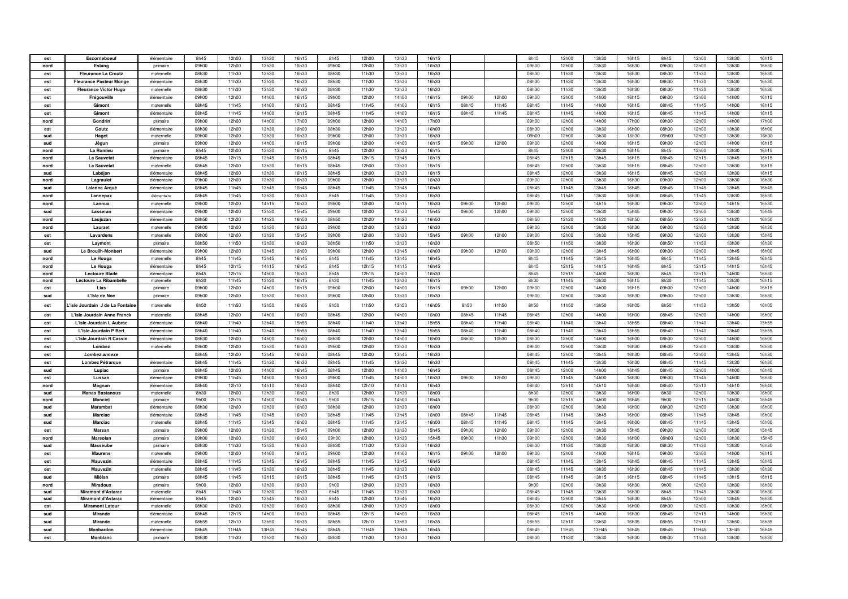| est        | Escorneboeuf                   | élémentaire | 8h45           | 12h00          | 13h30          | 16h15          | 8h45           | 12h00          | 13h30          | 16h15          |       |       | 8h45           | 12h00          | 13h30          | 16h15          | 8h45           | 12h00          | 13h30          | 16h15          |
|------------|--------------------------------|-------------|----------------|----------------|----------------|----------------|----------------|----------------|----------------|----------------|-------|-------|----------------|----------------|----------------|----------------|----------------|----------------|----------------|----------------|
| nord       | Estang                         | primaire    | 09h00          | 12h00          | 13h30          | 16h30          | 09h00          | 12h00          | 13h30          | 16h30          |       |       | 09h00          | 12h00          | 13h30          | 16h30          | 09h00          | 12h00          | 13h30          | 16h30          |
| est        | <b>Fleurance La Croutz</b>     | maternelle  | 08h30          | 11h30          | 13h30          | 16h30          | 08h30          | 11h30          | 13h30          | 16h30          |       |       | 08h30          | 11h30          | 13h30          | 16h30          | 08h30          | 11h30          | 13h30          | 16h30          |
|            |                                |             |                |                |                |                |                |                |                |                |       |       |                |                |                |                |                |                |                |                |
| est        | <b>Fleurance Pasteur Monge</b> | élémentaire | 08h30          | 11h30          | 13h30          | 16h30          | 08h30          | 11h30          | 13h30          | 16h30          |       |       | 08h30          | 11h30          | 13h30          | 16h30          | 08h30          | 11h30          | 13h30          | 16h30          |
| est        | <b>Fleurance Victor Hugo</b>   | maternelle  | 08h30          | 11h30          | 13h30          | 16h30          | 08h30          | 11h30          | 13h30          | 16h30          |       |       | 08h30          | 11h30          | 13h30          | 16h30          | 08h30          | 11h30          | 13h30          | 16h30          |
| est        | Frégouville                    | élémentaire | 09h00          | 12h00          | 14h00          | 16h15          | 09h00          | 12h00          | 14h00          | 16h15          | 09h00 | 12h00 | 09h00          | 12h00          | 14h00          | 16h15          | 09h00          | 12h00          | 14h00          | 16h15          |
| est        | Gimont                         | matemelle   | 08h45          | 11h45          | 14h00          | 16h15          | 08h45          | 11h45          | 14h00          | 16h15          | 08h45 | 11h45 | 08h45          | 11h45          | 14h00          | 16h15          | 08h45          | 11h45          | 14h00          | 16h15          |
| est        | Gimont                         | élémentaire | 08h45          | 11h45          | 14h00          | 16h15          | 08h45          | 11h45          | 14h00          | 16h15          | 08h45 | 11h45 | 08h45          | 11h45          | 14h00          | 16h15          | 08h45          | 11h45          | 14h00          | 16h15          |
| nord       | Gondrin                        | primaire    | 09h00          | 12h00          | 14h00          | 17h00          | 09h00          | 12h00          | 14h00          | 17h00          |       |       | 09h00          | 12h00          | 14h00          | 17h00          | 09h00          | 12h00          | 14h00          | 17h00          |
| est        | Goutz                          | élémentaire | 08h30          | 12h00          | 13h30          | 16h00          | 08h30          | 12h00          | 13h30          | 16h00          |       |       | 08h30          | 12h00          | 13h30          | 16h00          | 08h30          | 12h00          | 13h30          | 16h00          |
| sud        | Haget                          | maternelle  | 09h00          | 12h00          | 13h30          | 16h30          | 09h00          | 12h00          | 13h30          | 16h30          |       |       | 09h00          | 12h00          | 13h30          | 16h30          | 09h00          | 12h00          | 13h30          | 16h30          |
| sud        | Jégun                          | primaire    | 09h00          | 12h00          | 14h00          | 16h15          | 09h00          | 12h00          | 14h00          | 16h15          | 09h00 | 12h00 | 09h00          | 12h00          | 14h00          | 16h15          | 09h00          | 12h00          | 14h00          | 16h15          |
| nord       | La Romieu                      | primaire    | 8h45           | 12h00          | 13h30          | 16h15          | 8h45           | 12h00          | 13h30          | 16h15          |       |       | 8h45           | 12h00          | 13h30          | 16h15          | 8h45           | 12h00          | 13h30          | 16h15          |
| nord       | La Sauvetat                    | élémentaire | 08h45          | 12h15          | 13h45          | 16h15          | 08h45          | 12h15          | 13h45          | 16h15          |       |       | 08h45          | 12h15          | 13h45          | 16h15          | 08h45          | 12h15          | 13h45          | 16h15          |
| nord       | La Sauvetat                    | maternelle  | 08h45          | 12h00          | 13h30          | 16h15          | 08h45          | 12h00          | 13h30          | 16h15          |       |       | 08h45          | 12h00          | 13h30          | 16h15          | 08h45          | 12h00          | 13h30          | 16h15          |
| sud        | Labéjan                        | élémentaire | 08h45          | 12h00          | 13h30          | 16h15          | 08h45          | 12h00          | 13h30          | 16h15          |       |       | 08h45          | 12h00          | 13h30          | 16h15          | 08h45          | 12h00          | 13h30          | 16h15          |
| nord       | Lagraulet                      | élémentaire | 09h00          | 12h00          | 13h30          | 16h30          | 09h00          | 12h00          | 13h30          | 16h30          |       |       | 09h00          | 12h00          | 13h30          | 16h30          | 09h00          | 12h00          | 13h30          | 16h30          |
| sud        | Lalanne Arqué                  | élémentaire | 08h45          | 11h45          | 13h45          | 16h45          | 08h45          | 11h45          | 13h45          | 16h45          |       |       | 08h45          | 11h45          | 13h45          | 16h45          | 08h45          | 11h45          | 13h45          | 16h45          |
| nord       | Lannepax                       | élémentaire | 08h45          | 11h45          | 13h30          | 16h30          | 8h45           | 11h45          | 13h30          | 16h30          |       |       | 08h45          | 11h45          | 13h30          | 16h30          | 08h45          | 11h45          | 13h30          | 16h30          |
| nord       | Lannux                         | maternelle  | 09h00          | 12h00          | 14h15          | 16h30          | 09h00          | 12h00          | 14h15          | 16h30          | 09h00 | 12h00 | 09h00          | 12h00          | 14h15          | 16h30          | 09h00          | 12h00          | 14h15          | 16h30          |
|            |                                |             |                |                |                | 15h45          |                |                |                |                |       |       |                |                |                |                |                |                |                |                |
| sud        | Lasseran                       | élémentaire | 09h00          | 12h00          | 13h30          |                | 09h00          | 12h00          | 13h30          | 15h45          | 09h00 | 12h00 | 09h00          | 12h00          | 13h30          | 15h45          | 09h00          | 12h00          | 13h30          | 15h45          |
| nord       | Laujuzan                       | élémentaire | 08h50          | 12h20          | 14h20          | 16h50          | 08h50          | 12h20          | 14h20          | 16h50          |       |       | 08h50          | 12h20          | 14h20          | 16h50          | 08h50          | 12h20          | 14h20          | 16h50          |
| nord       | Lauraet                        | maternelle  | 09h00          | 12h00          | 13h30          | 16h30          | 09h00          | 12h00          | 13h30          | 16h30          |       |       | 09h00          | 12h00          | 13h30          | 16h30          | 09h00          | 12h00          | 13h30          | 16h30          |
| est        | Lavardens                      | maternelle  | 09h00          | 12h00          | 13h30          | 15h45          | 09h00          | 12h00          | 13h30          | 15h45          | 09h00 | 12h00 | 09h00          | 12h00          | 13h30          | 15h45          | 09h00          | 12h00          | 13h30          | 15h45          |
| est        | Laymont                        | primaire    | 08h50          | 11h50          | 13h30          | 16h30          | 08h50          | 11h50          | 13h30          | 16h30          |       |       | 08h50          | 11h50          | 13h30          | 16h30          | 08h50          | 11h50          | 13h30          | 16h30          |
| sud        | Le Brouilh-Monbert             | élémentaire | nghnn          | 12h00          | 13h45          | 16h00          | nghnn          | 12h00          | 13h45          | 16h00          | 09h00 | 12h00 | nghnn          | 12h00          | 13h45          | 16h00          | 09h00          | 12h00          | 13h45          | 16h00          |
| nord       | Le Houga                       | maternelle  | 8h45           | 11h45          | 13h45          | 16h45          | 8h45           | 11h45          | 13h45          | 16h45          |       |       | 8h45           | 11h45          | 13h45          | 16h45          | 8h45           | 11h45          | 13h45          | 16h45          |
| nord       | Le Houga                       | élémentaire | 8h45           | 12h15          | 14h15          | 16h45          | 8h45           | 12h15          | 14h15          | 16h45          |       |       | 8h45           | 12h15          | 14h15          | 16h45          | 8h45           | 12h15          | 14h15          | 16h45          |
| nord       | Lectoure Blade                 | élémentaire | 8h45           | 12h15          | 14h00          | 16h30          | 8h45           | 12h15          | 14h00          | 16h30          |       |       | 8h45           | 12h15          | 14h00          | 16h30          | 8h45           | 12h15          | 14h00          | 16h30          |
| nord       | Lectoure La Ribambelle         | maternelle  | 8h30           | 11h45          | 13h30          | 16h15          | 8h30           | 11h45          | 13h30          | 16h15          |       |       | 8h30           | 11h45          | 13h30          | 16h15          | 8h30           | 11h45          | 13h30          | 16h15          |
| est        | Lias                           | primaire    | 09h00          | 12h00          | 14h00          | 16h15          | 09h00          | 12h00          | 14h00          | 16h15          | 09h00 | 12h00 | 09h00          | 12h00          | 14h00          | 16h15          | 09h00          | 12h00          | 14h00          | 16h15          |
| sud        | L'Isle de Noe                  | primaire    | 09h00          | 12h00          | 13h30          | 16h30          | 09h00          | 12h00          | 13h30          | 16h30          |       |       | 09h00          | 12h00          | 13h30          | 16h30          | 09h00          | 12h00          | 13h30          | 16h30          |
|            |                                |             |                |                |                |                |                |                |                |                |       |       |                |                |                |                |                |                |                |                |
| est        | Isle Jourdain J de La Fontaine | maternelle  | 8h50           | 11h50          | 13h50          | 16h05          | 8h50           | 11h50          | 13h50          | 16h05          | 8h50  | 11h50 | 8h50           | 11h50          | 13h50          | 16h05          | 8h50           | 11h50          | 13h50          | 16h05          |
|            | L'Isle Jourdain Anne Franck    | maternelle  | 08h45          | 12h00          | 14h00          | 16h00          | 08h45          | 12h00          | 14h00          | 16h00          | 08h45 | 11h45 | 08h45          | 12h00          | 14h00          | 16h00          | 08h45          | 12h00          | 14h00          | 16h00          |
| est        |                                |             |                |                |                |                |                |                |                |                |       |       |                |                |                |                |                |                |                |                |
| est        | L'Isle Jourdain L Aubrac       | élémentaire | 08h40          | 11h40          | 13h40          | 15h55          | 08h40          | 11h40          | 13h40          | 15h55          | 08h40 | 11h40 | 08h40          | 11h40          | 13h40          | 15h55          | 08h40          | 11h40          | 13h40          | 15h55          |
| est        | L'Isle Jourdain P Bert         | élémentaire | 08h40          | 11h40          | 13h40          | 15h55          | 08h40          | 11h40          | 13h40          | 15h55          | 08h40 | 11h40 | 08h40          | 11h40          | 13h40          | 15h55          | 08h40          | 11h40          | 13h40          | 15h55          |
| est        | L'Isle Jourdain R Cassin       | élémentaire | 08h30          | 12h00          | 14h00          | 16h00          | 08h30          | 12h00          | 14h00          | 16h00          | 08h30 | 10h30 | 08h30          | 12h00          | 14h00          | 16h00          | 08h30          | 12h00          | 14h00          | 16h00          |
| est        | Lombez                         | maternelle  | 09h00          | 12h00          | 13h30          | 16h30          | 09h00          | 12h00          | 13h30          | 16h30          |       |       | 09h00          | 12h00          | 13h30          | 16h30          | 09h00          | 12h00          | 13h30          | 16h30          |
| est        | Lombez annexe                  |             | 08h45          | 12h00          | 13h45          | 16h30          | 08h45          | 12h00          | 13h45          | 16h30          |       |       | 08h45          | 12h00          | 13h45          | 16h30          | 08h45          | 12h00          | 13h45          | 16h30          |
| est        | Lombez Pétrarque               | élémentaire | 08h45          | 11h45          | 13h30          | 16h30          | 08h45          | 11h45          | 13h30          | 16h30          |       |       | 08h45          | 11h45          | 13h30          | 16h30          | 08h45          | 11h45          | 13h30          | 16h30          |
| sud        | Lupiac                         | primaire    | 08h45          | 12h00          | 14h00          | 16h45          | 08h45          | 12h00          | 14h00          | 16h45          |       |       | 08h45          | 12h00          | 14h00          | 16h45          | 08h45          | 12h00          | 14h00          | 16h45          |
| est        | Lussan                         | élémentaire | 09h00          | 11h45          | 14h00          | 16h30          | 09h00          | 11h45          | 14h00          | 16h30          | 09h00 | 12h00 | 09h00          | 11h45          | 14h00          | 16h30          | 09h00          | 11h45          | 14h00          | 16h30          |
| nord       | Magnan                         | élémentaire | 08h40          | 12h10          | 14h10          | 16h40          | 08h40          | 12h10          | 14h10          | 16h40          |       |       | 08h40          | 12h10          | 14h10          | 16h40          | 08h40          | 12h10          | 14h10          | 16h40          |
| sud        | <b>Manas Bastanous</b>         | maternelle  | 8h30           | 12h00          | 13h30          | 16h00          | 8h30           | 12h00          | 13h30          | 16h00          |       |       | 8h30           | 12h00          | 13h30          | 16h00          | 8h30           | 12h00          | 13h30          | 16h00          |
| nord       | <b>Manciet</b>                 | primaire    | 9h00           | 12h15          | 14h00          | 16h45          | 9h00           | 12h15          | 14h00          | 16h45          |       |       | 9h00           | 12h15          | 14h00          | 16h45          | 9h00           | 12h15          | 14h00          | 16h45          |
| sud        | Marambat                       | élémentaire | 08h30          | 12h00          | 13h30          | 16h00          | 08h30          | 12h00          | 13h30          | 16h00          |       |       | 08h30          | 12h00          | 13h30          | 16h00          | 08h30          | 12h00          | 13h30          | 16h00          |
| sud        | Marciac                        | élémentaire | 08h45          | 11h45          | 13h45          | 16h00          | 08h45          | 11h45          | 13h45          | 16h00          | 08h45 | 11h45 | 08h45          | 11h45          | 13h45          | 16h00          | 08h45          | 11h45          | 13h45          | 16h00          |
| sud        | Marciac                        | maternelle  | 08h45          | 11h45          | 13h45          | 16h00          | 08h45          | 11h45          | 13h45          | 16h00          | 08h45 | 11h45 | 08h45          | 11h45          | 13h45          | 16h00          | 08h45          | 11h45          | 13h45          | 16h00          |
| est        | <b>Marsan</b>                  | primaire    | 09h00          | 12h00          | 13h30          | 15h45          | 09h00          | 12h00          | 13h30          | 15h45          | 09h00 | 12h00 | 09h00          | 12h00          | 13h30          | 15h45          | 09h00          | 12h00          | 13h30          | 15h45          |
| nord       | Marsolan                       | primaire    | 09h00          | 12h00          | 13h30          | 16h00          | 09h00          | 12h00          | 13h30          | 15h45          | 09h00 | 11h30 | 09h00          | 12h00          | 13h30          | 16h00          | 09h00          | 12h00          | 13h30          | 15h45          |
| sud        | Masseube                       | primaire    | 08h30          | 11h30          | 13h30          | 16h30          | 08h30          | 11h30          | 13h30          | 16h30          |       |       | 08h30          | 11h30          | 13h30          | 16h30          | 08h30          | 11h30          | 13h30          | 16h30          |
| est        | <b>Maurens</b>                 | maternelle  | 09h00          | 12h00          | 14h00          | 16h15          | 09h00          | 12h00          | 14h00          | 16h15          | 09h00 | 12h00 | 09h00          | 12h00          | 14h00          | 16h15          | 09h00          | 12h00          | 14h00          | 16h15          |
| est        | Mauvezin                       | élémentaire | 08h45          | 11h45          | 13h45          | 16h45          | 08h45          | 11h45          | 13h45          | 16h45          |       |       | 08h45          | 11h45          | 13h45          | 16h45          | 08h45          | 11h45          | 13h45          | 16h45          |
| est        | Mauvezin                       | maternelle  | 08h45          | 11h45          | 13h30          | 16h30          | 08h45          | 11h45          | 13h30          | 16h30          |       |       | 08h45          | 11h45          | 13h30          | 16h30          | 08h45          | 11h45          | 13h30          | 16h30          |
| sud        | Miélan                         | primaire    | 08h45          | 11h45          | 13h15          | 16h15          | 08h45          | 11h45          | 13h15          | 16h15          |       |       | 08h45          | 11h45          | 13h15          | 16h15          | 08h45          | 11h45          | 13h15          | 16h15          |
| nord       | Miradoux                       | primaire    | 9h00           | 12h00          | 13h30          | 16h30          | 9h00           | 12h00          | 13h30          | 16h30          |       |       | 9h00           | 12h00          | 13h30          | 16h30          | 9h00           | 12h00          | 13h30          | 16h30          |
| sud        | Miramont d'Astarac             | maternelle  | 8h45           | 11h45          | 13h30          | 16h30          | 8h45           | 11h45          | 13h30          | 16h30          |       |       | 08h45          | 11h45          | 13h30          | 16h30          | 8h45           | 11h45          | 13h30          | 16h30          |
| sud        | Miramont d'Astarac             | élémentaire | 8h45           | 12h00          | 13h45          | 16h30          | 8h45           | 12h00          | 13h45          | 16h30          |       |       | 08h45          | 12h00          | 13h45          | 16h30          | 8h45           | 12h00          | 13h45          | 16h30          |
| est        | <b>Miramont Latour</b>         | maternelle  | 08h30          | 12h00          | 13h30          | 16h00          | 08h30          | 12h00          | 13h30          | 16h00          |       |       | 08h30          | 12h00          | 13h30          | 16h00          | 08h30          | 12h00          | 13h30          | 16h00          |
| sud        | <b>Mirande</b>                 | élémentaire | 08h45          | 12h15          | 14h00          | 16h30          | 08h45          | 12h15          | 14h00          | 16h30          |       |       | 08h45          | 12h15          | 14h00          | 16h30          | 08h45          | 12h15          | 14h00          | 16h30          |
| sud        | Mirande                        | maternelle  | 08h55          | 12h10          | 13h50          | 16h35          | 08h55          | 12h10          | 13h50          | 16h35          |       |       | 08h55          | 12h10          | 13h50          | 16h35          | 08h55          | 12h10          | 13h50          | 16h35          |
| sud<br>est | Monbardon<br>Monblanc          | élémentaire | 08h45<br>08h30 | 11H45<br>11h30 | 13H45<br>13h30 | 16h45<br>16h30 | 08h45<br>08h30 | 11H45<br>11h30 | 13H45<br>13h30 | 16h45<br>16h30 |       |       | 08h45<br>08h30 | 11H45<br>11h30 | 13H45<br>13h30 | 16h45<br>16h30 | 08h45<br>08h30 | 11H45<br>11h30 | 13H45<br>13h30 | 16h45<br>16h30 |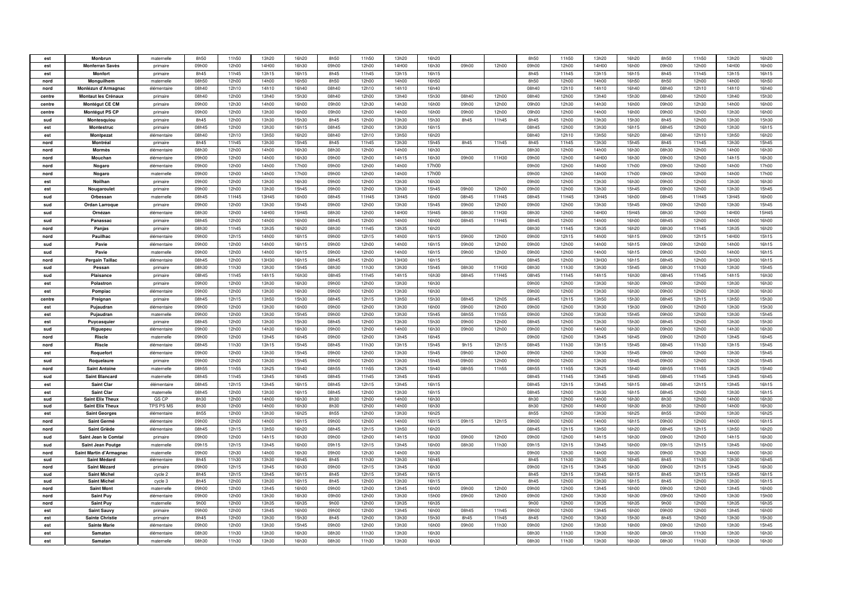| est        | Monbrun                                       | maternelle              | 8h50                       | 11h50          | 13h20          | 16h20          | 8h50          | 11h50          | 13h20          | 16h20          |               |                | 8h50          | 11h50          | 13h20          | 16h20          | 8h50          | 11h50          | 13h20          | 16h20          |
|------------|-----------------------------------------------|-------------------------|----------------------------|----------------|----------------|----------------|---------------|----------------|----------------|----------------|---------------|----------------|---------------|----------------|----------------|----------------|---------------|----------------|----------------|----------------|
| est        | <b>Monferran Savès</b>                        | primaire                | 09h00                      | 12h00          | 14H00          | 16h30          | 09h00         | 12h00          | 14H00          | 16h30          | 09h00         | 12h00          | 09h00         | 12h00          | 14H00          | 16h00          | 09h00         | 12h00          | 14H00          | 16h00          |
| est        | Monfort                                       | primaire                | 8h45                       | 11h45          | 13h15          | 16h15          | 8h45          | 11h45          | 13h15          | 16h15          |               |                | 8h45          | 11h45          | 13h15          | 16h15          | 8h45          | 11h45          | 13h15          | 16h15          |
| nord       | Monguilhem                                    | maternelle              | 08h50                      | 12h00          | 14h00          | 16h50          | 8h50          | 12h00          | 14h00          | 16h50          |               |                | 8h50          | 12h00          | 14h00          | 16h50          | 8h50          | 12h00          | 14h00          | 16h50          |
| nord       | Monlézun d'Armagnac                           | élémentaire             | 08h40                      | 12h10          | 14h10          | 16h40          | 08h40         | 12h10          | 14h10          | 16h40          |               |                | 08h40         | 12h10          | 14h10          | 16h40          | 08h40         | 12h10          | 14h10          | 16h40          |
| centre     | Montaut les Crénaux                           | primaire                | 08h40                      | 12h00          | 13h40          | 15h30          | 08h40         | 12h00          | 13h40          | 15h30          | 08h40         | 12h00          | 08h40         | 12h00          | 13h40          | 15h30          | 08h40         | 12h00          | 13h40          | 15h30          |
| centre     | Montégut CE CM                                | primaire                | 09h00                      | 12h30          | 14h00          | 16h00          | 09h00         | 12h30          | 14h30          | 16h00          | 09h00         | 12h00          | 09h00         | 12h30          | 14h30          | 16h00          | 09h00         | 12h30          | 14h00          | 16h00          |
| centre     | Montégut PS CP                                | primaire                | 09h00                      | 12h00          | 13h30          | 16h00          | 09h00         | 12h00          | 14h00          | 16h00          | 09h00         | 12h00          | 09h00         | 12h00          | 14h00          | 16h00          | 09h00         | 12h00          | 13h30          | 16h00          |
| sud        | Montesquiou                                   | primaire                | 8h45                       | 12h00          | 13h30          | 15h30          | 8h45          | 12h00          | 13h30          | 15h30          | 8h45          | 11h45          | 8h45          | 12h00          | 13h30          | 15h30          | 8h45          | 12h00          | 13h30          | 15h30          |
| est        | Montestruc                                    | primaire                | 08h45                      | 12h00          | 13h30          | 16h15          | 08h45         | 12h00          | 13h30          | 16h15          |               |                | 08h45         | 12h00          | 13h30          | 16h15          | 08h45         | 12h00          | 13h30          | 16h15          |
| est        | Montpezat                                     | élémentaire             | 08h40                      | 12h10          | 13h50          | 16h20          | 08h40         | 12h10          | 13h50          | 16h20          |               |                | 08h40         | 12h10          | 13h50          | 16h20          | 08h40         | 12h10          | 13h50          | 16h20          |
| nord       | Montréal                                      | primaire                | 8h45                       | 11h45          | 13h30          | 15h45          | 8h45          | 11h45          | 13h30          | 15h45          | 8h45          | 11h45          | 8h45          | 11h45          | 13h30          | 15h45          | 8h45          | 11h45          | 13h30          | 15h45          |
| nord       | <b>Mormès</b>                                 | élémentaire             | 08h30                      | 12h00          | 14h00          | 16h30          | 08h30         | 12h00          | 14h00          | 16h30          |               |                | 08h30         | 12h00          | 14h00          | 16h30          | 08h30         | 12h00          | 14h00          | 16h30          |
| nord       | Mouchan                                       | élémentaire             | 09h00                      | 12h00          | 14h00          | 16h30          | 09h00         | 12h00          | 14h15          | 16h30          | 09h00         | 11H30          | 09h00         | 12h00          | 14H00          | 16h30          | 09h00         | 12h00          | 14h15          | 16h30          |
| nord       | Nogaro                                        | élémentaire             | 09h00                      | 12h00          | 14h00          | 17h00          | 09h00         | 12h00          | 14h00          | 17h00          |               |                | 09h00         | 12h00          | 14h00          | 17h00          | 09h00         | 12h00          | 14h00          | 17h00          |
| nord       | Nogaro                                        | maternelle              | 09h00                      | 12h00          | 14h00          | 17h00          | 09h00         | 12h00          | 14h00          | 17h00          |               |                | 09h00         | 12h00          | 14h00          | 17h00          | 09h00         | 12h00          | 14h00          | 17h00          |
| est        | Noilhan                                       | primaire                | 09h00                      | 12h00          | 13h30          | 16h30          | 09h00         | 12h00          | 13h30          | 16h30          |               |                | 09h00         | 12h00          | 13h30          | 16h30          | 09h00         | 12h00          | 13h30          | 16h30          |
| est        | Nougaroulet                                   | primaire                | 09h00                      | 12h00          | 13h30          | 15h45          | 09h00         | 12h00          | 13h30          | 15h45          | 09h00         | 12h00          | 09h00         | 12h00          | 13h30          | 15h45          | 09h00         | 12h00          | 13h30          | 15h45          |
| sud        | Orbessan                                      | maternelle              | 08h45                      | 11H45          | 13H45          | 16h00          | 08h45         | 11H45          | 13H45          | 16h00          | 08h45         | 11H45          | 08h45         | 11H45          | 13H45          | 16h00          | 08h45         | 11H45          | 13H45          | 16h00          |
| sud        | <b>Ordan Larroque</b>                         | primaire                | 09h00                      | 12h00          | 13h30          | 15h45          | 09h00         | 12h00          | 13h30          | 15h45          | 09h00         | 12h00          | 09h00         | 12h00          | 13h30          | 15h45          | 09h00         | 12h00          | 13h30          | 15h45          |
| sud        | Ornézan                                       | élémentaire             | 08h30                      | 12h00          | 14H00          | 15H45          | 08h30         | 12h00          | 14H00          | 15H45          | 08h30         | 11H30          | 08h30         | 12h00          | 14H00          | 15H45          | 08h30         | 12h00          | 14H00          | 15H45          |
| sud        | Panassac                                      | primaire                | 08h45                      | 12h00          | 14h00          | 16h00          | 08h45         | 12h00          | 14h00          | 16h00          | 08h45         | 11H45          | 08h45         | 12h00          | 14h00          | 16h00          | 08h45         | 12h00          | 14h00          | 16h00          |
| nord       | Panjas                                        | primaire                | 08h30                      | 11h45          | 13h35          | 16h20          | 08h30         | 11h45          | 13h35          | 16h20          |               |                | 08h30         | 11h45          | 13h35          | 16h20          | 08h30         | 11h45          | 13h35          | 16h20          |
| nord       | Pauilhac                                      | élémentaire             | 09h00                      | 12h15          | 14h00          | 16h15          | 09h00         | 12h15          | 14h00          | 16h15          | 09h00         | 12h00          | 09h00         | 12h15          | 14h00          | 16h15          | 09h00         | 12h15          | 14H00          | 15h15          |
| sud        | Pavie                                         | élémentaire             | 09h00                      | 12h00          | 14h00          | 16h15          | nghnn         | 12h00          | 14h00          | 16h15          | nghnn         | 12h00          | 09h00         | 12h00          | 14h00          | 16h15          | 09h00         | 12h00          | 14h00          | 16h15          |
| sud        | Pavie                                         | maternelle              | 09h00                      | 12h00          | 14h00          | 16h15          | 09h00         | 12h00          | 14h00          | 16h15          | 09h00         | 12h00          | 09h00         | 12h00          | 14h00          | 16h15          | 09h00         | 12h00          | 14h00          | 16h15          |
| nord       | <b>Pergain Taillac</b>                        | élémentaire             | 08h45                      | 12h00          | 13H30          | 16h15          | 08h45         | 12h00          | 13H30          | 16h15          |               |                | 08h45         | 12h00          | 13H30          | 16h15          | 08h45         | 12h00          | 13H30          | 16h15          |
| sud        | Pessar                                        | primaire                | 08h30                      | 11h30          | 13h30          | 15h45          | 08h30         | 11h30          | 13h30          | 15h45          | 08h30         | 11H30          | 08h30         | 11h30          | 13h30          | 15h45          | 08h30         | 11h30          | 13h30          | 15h45          |
| sud        | Plaisance                                     | primaire                | 08h45                      | 11h45          | 14h15          | 16h30          | 08h45         | 11h45          | 14h15          | 16h30          | 08h45         | 11H45          | 08h45         | 11h45          | 14h15          | 16h30          | 08h45         | 11h45          | 14h15          | 16h30          |
| est        | Polastron                                     | primaire                | 09h00                      | 12h00          | 13h30          | 16h30          | 09h00         | 12h00          | 13h30          | 16h30          |               |                | 09h00         | 12h00          | 13h30          | 16h30          | 09h00         | 12h00          | 13h30          | 16h30          |
| est        | Pompiac                                       | élémentaire             | 09h00                      | 12h00          | 13h30          | 16h30          | 09h00         | 12h00          | 13h30          | 16h30          |               |                | 09h00         | 12h00          | 13h30          | 16h30          | 09h00         | 12h00          | 13h30          | 16h30          |
| centre     | Preignan                                      | primaire                | 08h45                      | 12h15          | 13h50          | 15h30          | 08h45         | 12h15          | 13h50          | 15h30          | 08h45         | 12h05          | 08h45         | 12h15          | 13h50          | 15h30          | 08h45         | 12h15          | 13h50          | 15h30          |
| est        | Pujaudran                                     | élémentaire             | 09h00                      | 12h00          | 13h30          | 16h00          | 09h00         | 12h00          | 13h30          | 16h00          | 09h00         | 12h00          | 09h00         | 12h00          | 13h30          | 15h30          | 09h00         | 12h00          | 13h30          | 15h30          |
| est        | Pujaudran                                     | maternelle              | 09h00                      | 12h00          | 13h30          | 15h45          | 09h00         | 12h00          | 13h30          | 15h45          | 08h55         | 11h55          | 09h00         | 12h00          | 13h30          | 15h45          | 09h00         | 12h00          | 13h30          | 15h45          |
| est        | Puycasquier                                   | primaire                | 08h45                      | 12h00          | 13h30          | 15h30          | 08h45         | 12h00          | 13h30          | 15h30          | 09h00         | 12h00          | 08h45         | 12h00          | 13h30          | 15h30          | 08h45         | 12h00          | 13h30          | 15h30          |
| sud        | Riguepeu                                      | élémentaire             | 09h00                      | 12h00          | 14h30          | 16h30          | 09h00         | 12h00          | 14h00          | 16h30          | 09h00         | 12h00          | 09h00         | 12h00          | 14h00          | 16h30          | 09h00         | 12h00          | 14h30          | 16h30          |
| nord       | Riscle                                        | maternelle              | 09h00                      | 12h00          | 13h45          | 16h45          | 09h00         | 12h00          | 13h45          | 16h45          |               |                | 09h00         | 12h00          | 13h45          | 16h45          | 09h00         | 12h00          | 13h45          | 16h45          |
| nord       | Riscle                                        | élémentaire             | 08h45                      | 11h30          | 13h15          | 15h45          | 08h45         | 11h30          | 13h15          | 15h45          | 9h15          | 12h15          | 08h45         | 11h30          | 13h15          | 15h45          | 08h45         | 11h30          | 13h15          | 15h45          |
| est        | Roquefort                                     | élémentaire             | 09h00                      | 12h00          | 13h30          | 15h45          | nghnn         | 12h00          | 13h30          | 15h45          | nghnn         | 12h00          | 09h00         | 12h00          | 13h30          | 15h45          | 09h00         | 12h00          | 13h30          | 15h45          |
| sud        | Roquelaure                                    | primaire                | 09h00                      | 12h00          | 13h30          | 15h45          | 09h00         | 12h00          | 13h30          | 15h45          | 09h00         | 12h00          | 09h00         | 12h00          | 13h30          | 15h45          | 09h00         | 12h00          | 13h30          | 15h45          |
| nord       | <b>Saint Antoine</b>                          | maternelle              | 08h55                      | 11h55          | 13h25          | 15h40          | 08h55         | 11h55          | 13h25          | 15h40          | 08h55         | 11h55          | 08h55         | 11h55          | 13h25          | 15h40          | 08h55         | 11h55          | 13h25          | 15h40          |
| sud        | <b>Saint Blancard</b>                         | maternelle              | 08h45                      | 11h45          | 13h45          | 16h45          | 08h45         | 11h45          | 13h45          | 16h45          |               |                | 08h45         | 11h45          | 13h45          | 16h45          | 08h45         | 11h45          | 13h45          | 16h45          |
| est        | <b>Saint Clar</b>                             | élémentaire             | 08h45                      | 12h15          | 13h45          | 16h15          | 08h45         | 12h15          | 13h45          | 16h15          |               |                | 08h45         | 12h15          | 13h45          | 16h15          | 08h45         | 12h15          | 13h45          | 16h15          |
| est        | Saint Clar                                    | maternelle              | 08h45                      | 12h00          | 13h30          | 16h15          | 08h45         | 12h00          | 13h30          | 16h15          |               |                | 08h45         | 12h00          | 13h30          | 16h15          | 08h45         | 12h00          | 13h30          | 16h15          |
| sud        | <b>Saint Elix Theux</b>                       | GS CP                   | 8h30                       | 12h00          | 14h00          | 16h30          | 8h30          | 12h00          | 14h00          | 16h30          |               |                | 8h30          | 12h00          | 14h00          | 16h30          | 8h30          | 12h00          | 14h00          | 16h30          |
| sud        | <b>Saint Elix Theux</b>                       | TPS PS MS               | 8h30                       | 12h00          | 14h00          | 16h30          | 8h30          | 12h00          | 14h00          | 16h30          |               |                | 8h30          | 12h00          | 14h00          | 16h30          | 8h30          | 12h00          | 14h00          | 16h30          |
| est        | <b>Saint Georges</b>                          | élémentaire             | 8h55                       | 12h00          | 13h30          | 16h25          | 8h55          | 12h00          | 13h30          | 16h25          |               |                | 8h55          | 12h00          | 13h30          | 16h25          | 8h55          | 12h00          | 13h30          | 16h25          |
| nord       | Saint Germé                                   | élémentaire             | 09h00                      | 12h00          | 14h00          | 16h15          | 09h00         | 12h00          | 14h00          | 16h15          | 09h15         | 12h15          | 09h00         | 12h00          | 14h00          | 16h15          | 09h00         | 12h00          | 14h00          | 16h15          |
| nord       | Saint Griède                                  | élémentaire             | 08h45                      | 12h15          | 13h50          | 16h20          | 08h45         | 12h15          | 13h50          | 16h20          |               |                | 08h45         | 12h15          | 13h50          | 16h20          | 08h45         | 12h15          | 13h50          | 16h20          |
| sud        | Saint Jean le Comtal                          | primaire                | 09h00                      | 12h00          | 14h15          | 16h30          | 09h00         | 12h00          | 14h15          | 16h30          | 09h00         | 12h00          | 09h00         | 12h00          | 14h15          | 16h30          | 09h00         | 12h00          | 14h15          | 16h30          |
| sud        | Saint Jean Poutge                             | maternelle              | 09h15                      | 12h15          | 13h45          | 16h00          | 09h15         | 12h15          | 13h45          | 16h00          | 08h30         | 11h30          | 09h15         | 12h15          | 13h45          | 16h00          | 09h15         | 12h15          | 13h45          | 16h00          |
| nord       | Saint Martin d'Armagnac                       | maternelle              | 09 <sub>h0</sub> c         | 12h30          | 14h00          | 16h30          | 09h00         | 12h30          | 14h00          | 16h30          |               |                | 09h00         | 12h30          | 14h00          | 16h30          | 09h00         | 12h30          | 14h00          | 16h30          |
| sud        | Saint Médard                                  | élémentaire             | 8h45                       | 11h30          | 13h30          | 16h45          | 8h45          | 11h30          | 13h30          | 16h45          |               |                | 8h45          | 11h30          | 13h30          | 16h45          | 8h45          | 11h30          | 13h30          | 16h45          |
| nord       | Saint Mézard                                  | primaire                | 09h00                      | 12h15          | 13h45          | 16h30          | 09h00         | 12h15          | 13h45          | 16h30          |               |                | 09h00         | 12h15          | 13h45          | 16h30          | 09h00         | 12h15          | 13h45          | 16h30          |
| sud        | <b>Saint Michel</b>                           | cycle 2                 | 8h45                       | 12h15          | 13h45          | 16h15          | 8h45          | 12h15          | 13h45          | 16h15          |               |                | 8h45          | 12h15          | 13h45          | 16h15          | 8h45          | 12h15          | 13h45          | 16h15          |
| sud        | <b>Saint Michel</b>                           | cycle 3                 | 8h45                       | 12h00          | 13h30          | 16h15          | 8h45          | 12h00          | 13h30          | 16h15          |               |                | 8h45          | 12h00          | 13h30          | 16h15          | 8h45          | 12h00          | 13h30          | 16h15          |
| nord       | <b>Saint Mont</b>                             | maternelle              | 09h00                      | 12h00          | 13h45          | 16h00          | 09h00         | 12h00          | 13h45          | 16h00          | 09h00         | 12h00          | 09h00         | 12h00          | 13h45          | 16h00          | 09h00         | 12h00          | 13h45          | 16h00          |
| nord       | <b>Saint Puy</b>                              | élémentaire             | 09h00                      | 12h00          | 13h30          | 16h30          | 09h00         | 12h00          | 13h30          | 15h00          | 09h00         | 12h00          | 09h00         | 12h00          | 13h30          | 16h30          | 09h00         | 12h00          | 13h30          | 15h00          |
| nord       | <b>Saint Puy</b>                              | maternelle              | 9h00                       | 12h00          | 13h35          | 16h35          | 9h00          | 12h00          | 13h35          | 16h35          |               |                | 9h00          | 12h00          | 13h35          | 16h35          | 9h00          | 12h00          | 13h35          | 16h35          |
| est        | Saint Sauvy                                   | primaire                | 09h00                      | 12h00          | 13h45          | 16h00          | 09h00         | 12h00          | 13h45          | 16h00          | 08h45         | 11h45          | 09h00         | 12h00          | 13h45          | 16h00          | 09h00         | 12h00          | 13h45          | 16h00          |
| est<br>est | <b>Sainte Christie</b><br><b>Sainte Marie</b> | primaire<br>élémentaire | 8h45<br>09 <sub>h0</sub> c | 12h00<br>12h00 | 13h30<br>13h30 | 15h30<br>15h45 | 8h45<br>09h00 | 12h00<br>12h00 | 13h30<br>13h30 | 15h30<br>16h00 | 8h45<br>09h00 | 11h45<br>11h30 | 8h45<br>09h00 | 12h00<br>12h00 | 13h30<br>13h30 | 15h30<br>16h00 | 8h45<br>09h00 | 12h00<br>12h00 | 13h30<br>13h30 | 15h30<br>15h45 |
|            |                                               |                         |                            |                |                |                |               |                |                |                |               |                |               |                |                |                |               |                |                |                |
| est        | Samatan                                       | élémentaire             | 08h30                      | 11h30          | 13h30          | 16h30          | 08h30         | 11h30          | 13h30          | 16h30          |               |                | 08h30         | 11h30          | 13h30          | 16h30          | 08h30         | 11h30          | 13h30          | 16h30          |
| est        | Samatan                                       | maternelle              | 08h30                      | 11h30          | 13h30          | 16h30          | 08h30         | 11h30          | 13h30          | 16h30          |               |                | 08h30         | 11h30          | 13h30          | 16h30          | 08h30         | 11h30          | 13h30          | 16h30          |